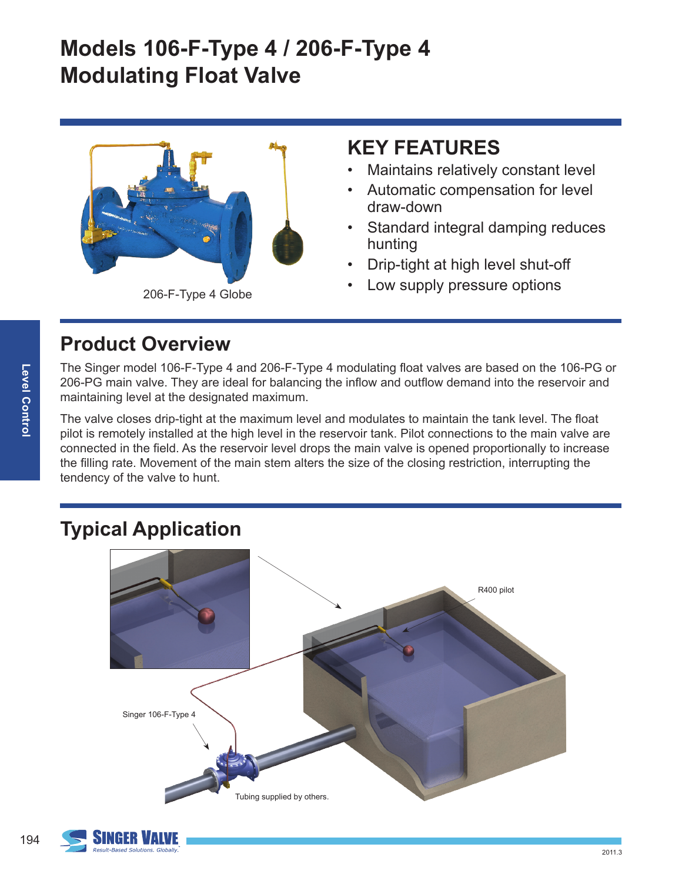# **Models 106-F-Type 4 / 206-F-Type 4 Modulating Float Valve**



206-F-Type 4 Globe

### **KEY FEATURES**

- Maintains relatively constant level
- Automatic compensation for level draw-down
- Standard integral damping reduces hunting
- Drip-tight at high level shut-off
- Low supply pressure options

### **Product Overview**

The Singer model 106-F-Type 4 and 206-F-Type 4 modulating float valves are based on the 106-PG or 206-PG main valve. They are ideal for balancing the inflow and outflow demand into the reservoir and maintaining level at the designated maximum.

The valve closes drip-tight at the maximum level and modulates to maintain the tank level. The float pilot is remotely installed at the high level in the reservoir tank. Pilot connections to the main valve are connected in the field. As the reservoir level drops the main valve is opened proportionally to increase the filling rate. Movement of the main stem alters the size of the closing restriction, interrupting the tendency of the valve to hunt.

# **Typical Application**



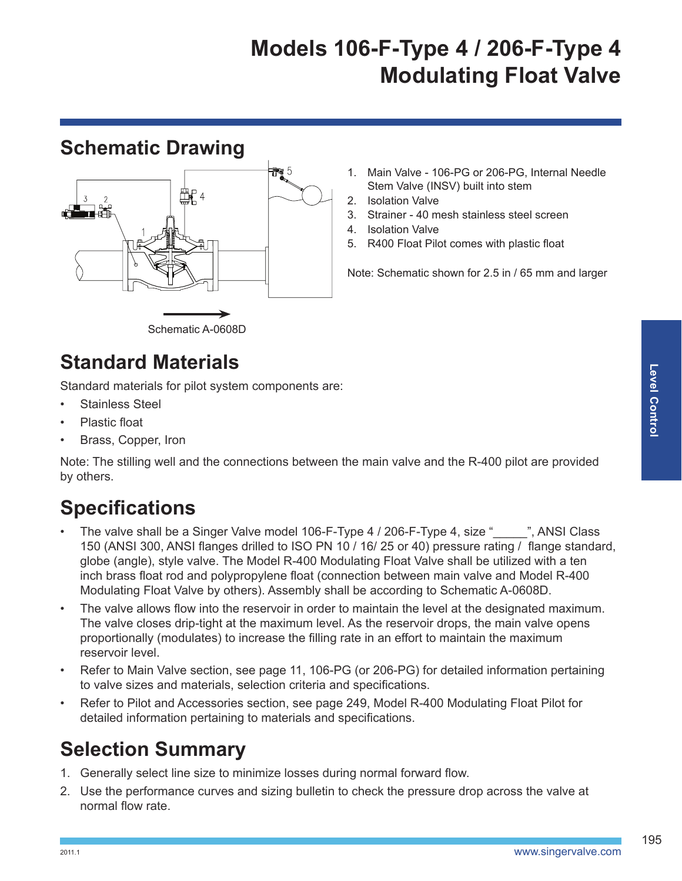# **Models 106-F-Type 4 / 206-F-Type 4 Modulating Float Valve**

### **Schematic Drawing**



- 1. Main Valve 106-PG or 206-PG, Internal Needle Stem Valve (INSV) built into stem
- 2. Isolation Valve
- 3. Strainer 40 mesh stainless steel screen
- 4. Isolation Valve
- 5. R400 Float Pilot comes with plastic float

Note: Schematic shown for 2.5 in / 65 mm and larger

#### Schematic A-0608D

### **Standard Materials**

Standard materials for pilot system components are:

- Stainless Steel
- Plastic float
- Brass, Copper, Iron

Note: The stilling well and the connections between the main valve and the R-400 pilot are provided by others.

# **Specifications**

- The valve shall be a Singer Valve model 106-F-Type 4 / 206-F-Type 4, size "\_\_\_\_", ANSI Class 150 (ANSI 300, ANSI flanges drilled to ISO PN 10 / 16/ 25 or 40) pressure rating / flange standard, globe (angle), style valve. The Model R-400 Modulating Float Valve shall be utilized with a ten inch brass float rod and polypropylene float (connection between main valve and Model R-400 Modulating Float Valve by others). Assembly shall be according to Schematic A-0608D.
- The valve allows flow into the reservoir in order to maintain the level at the designated maximum. The valve closes drip-tight at the maximum level. As the reservoir drops, the main valve opens proportionally (modulates) to increase the filling rate in an effort to maintain the maximum reservoir level.
- Refer to Main Valve section, see page 11, 106-PG (or 206-PG) for detailed information pertaining to valve sizes and materials, selection criteria and specifications.
- Refer to Pilot and Accessories section, see page 249, Model R-400 Modulating Float Pilot for detailed information pertaining to materials and specifications.

## **Selection Summary**

- 1. Generally select line size to minimize losses during normal forward flow.
- 2. Use the performance curves and sizing bulletin to check the pressure drop across the valve at normal flow rate.